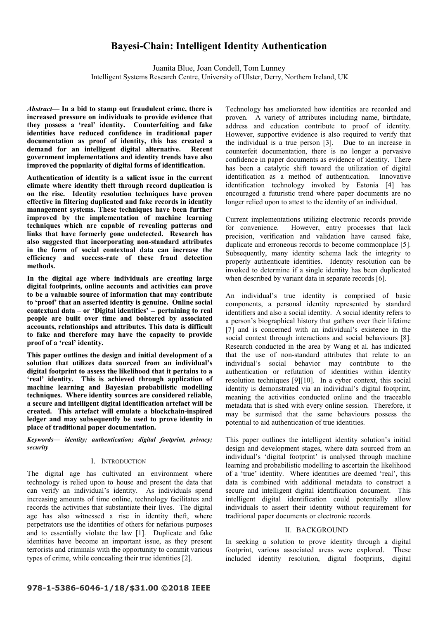# Bayesi-Chain: Intelligent Identity Authentication

Juanita Blue, Joan Condell, Tom Lunney Intelligent Systems Research Centre, University of Ulster, Derry, Northern Ireland, UK

Abstract— In a bid to stamp out fraudulent crime, there is increased pressure on individuals to provide evidence that they possess a 'real' identity. Counterfeiting and fake identities have reduced confidence in traditional paper documentation as proof of identity, this has created a demand for an intelligent digital alternative. Recent government implementations and identity trends have also improved the popularity of digital forms of identification.

Authentication of identity is a salient issue in the current climate where identity theft through record duplication is on the rise. Identity resolution techniques have proven effective in filtering duplicated and fake records in identity management systems. These techniques have been further improved by the implementation of machine learning techniques which are capable of revealing patterns and links that have formerly gone undetected. Research has also suggested that incorporating non-standard attributes in the form of social contextual data can increase the efficiency and success-rate of these fraud detection methods.

In the digital age where individuals are creating large digital footprints, online accounts and activities can prove to be a valuable source of information that may contribute to 'proof' that an asserted identity is genuine. Online social contextual data – or 'Digital identities' -- pertaining to real people are built over time and bolstered by associated accounts, relationships and attributes. This data is difficult to fake and therefore may have the capacity to provide proof of a 'real' identity.

This paper outlines the design and initial development of a solution that utilizes data sourced from an individual's digital footprint to assess the likelihood that it pertains to a 'real' identity. This is achieved through application of machine learning and Bayesian probabilistic modelling techniques. Where identity sources are considered reliable, a secure and intelligent digital identification artefact will be created. This artefact will emulate a blockchain-inspired ledger and may subsequently be used to prove identity in place of traditional paper documentation.

Keywords— identity; authentication; digital footprint, privacy; security

# I. INTRODUCTION

The digital age has cultivated an environment where technology is relied upon to house and present the data that can verify an individual's identity. As individuals spend increasing amounts of time online, technology facilitates and records the activities that substantiate their lives. The digital age has also witnessed a rise in identity theft, where perpetrators use the identities of others for nefarious purposes and to essentially violate the law [1]. Duplicate and fake identities have become an important issue, as they present terrorists and criminals with the opportunity to commit various types of crime, while concealing their true identities [2].

Technology has ameliorated how identities are recorded and proven. A variety of attributes including name, birthdate, address and education contribute to proof of identity. However, supportive evidence is also required to verify that the individual is a true person [3]. Due to an increase in counterfeit documentation, there is no longer a pervasive confidence in paper documents as evidence of identity. There has been a catalytic shift toward the utilization of digital identification as a method of authentication. Innovative identification technology invoked by Estonia [4] has encouraged a futuristic trend where paper documents are no longer relied upon to attest to the identity of an individual.

Current implementations utilizing electronic records provide for convenience. However, entry processes that lack precision, verification and validation have caused fake, duplicate and erroneous records to become commonplace [5]. Subsequently, many identity schema lack the integrity to properly authenticate identities. Identity resolution can be invoked to determine if a single identity has been duplicated when described by variant data in separate records [6].

An individual's true identity is comprised of basic components, a personal identity represented by standard identifiers and also a social identity. A social identity refers to a person's biographical history that gathers over their lifetime [7] and is concerned with an individual's existence in the social context through interactions and social behaviours [8]. Research conducted in the area by Wang et al. has indicated that the use of non-standard attributes that relate to an individual's social behavior may contribute to the authentication or refutation of identities within identity resolution techniques [9][10]. In a cyber context, this social identity is demonstrated via an individual's digital footprint, meaning the activities conducted online and the traceable metadata that is shed with every online session. Therefore, it may be surmised that the same behaviours possess the potential to aid authentication of true identities.

This paper outlines the intelligent identity solution's initial design and development stages, where data sourced from an individual's 'digital footprint' is analysed through machine learning and probabilistic modelling to ascertain the likelihood of a 'true' identity. Where identities are deemed 'real', this data is combined with additional metadata to construct a secure and intelligent digital identification document. This intelligent digital identification could potentially allow individuals to assert their identity without requirement for traditional paper documents or electronic records.

# II. BACKGROUND

In seeking a solution to prove identity through a digital footprint, various associated areas were explored. These included identity resolution, digital footprints, digital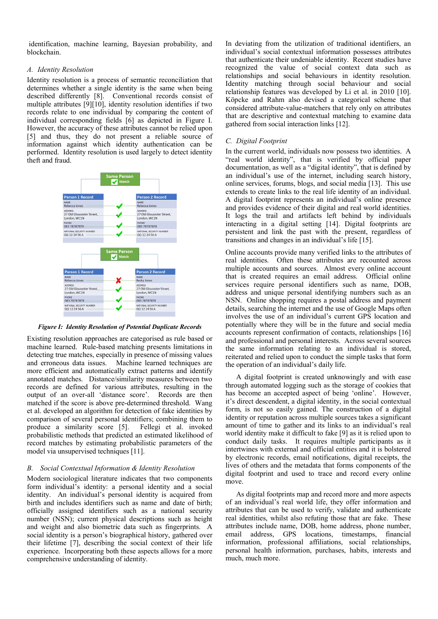identification, machine learning, Bayesian probability, and blockchain.

# A. Identity Resolution

Identity resolution is a process of semantic reconciliation that determines whether a single identity is the same when being described differently [8]. Conventional records consist of multiple attributes  $[9][10]$ , identity resolution identifies if two records relate to one individual by comparing the content of individual corresponding fields [6] as depicted in Figure I. However, the accuracy of these attributes cannot be relied upon [5] and thus, they do not present a reliable source of information against which identity authentication can be performed. Identity resolution is used largely to detect identity theft and fraud.



Figure I: Identity Resolution of Potential Duplicate Records

Existing resolution approaches are categorised as rule based or machine learned. Rule-based matching presents limitations in detecting true matches, especially in presence of missing values and erroneous data issues. Machine learned techniques are more efficient and automatically extract patterns and identify annotated matches. Distance/similarity measures between two records are defined for various attributes, resulting in the output of an over-all 'distance score'. Records are then matched if the score is above pre-determined threshold. Wang et al. developed an algorithm for detection of fake identities by comparison of several personal identifiers; combining them to produce a similarity score [5]. Fellegi et al. invoked probabilistic methods that predicted an estimated likelihood of record matches by estimating probabilistic parameters of the model via unsupervised techniques [11].

# B. Social Contextual Information & Identity Resolution

Modern sociological literature indicates that two components form individual's identity: a personal identity and a social identity. An individual's personal identity is acquired from birth and includes identifiers such as name and date of birth; officially assigned identifiers such as a national security number (NSN); current physical descriptions such as height and weight and also biometric data such as fingerprints. A social identity is a person's biographical history, gathered over their lifetime [7], describing the social context of their life experience. Incorporating both these aspects allows for a more comprehensive understanding of identity.

In deviating from the utilization of traditional identifiers, an individual's social contextual information possesses attributes that authenticate their undeniable identity. Recent studies have recognized the value of social context data such as relationships and social behaviours in identity resolution. Identity matching through social behaviour and social relationship features was developed by Li et al. in 2010 [10]. Köpcke and Rahm also devised a categorical scheme that considered attribute-value-matchers that rely only on attributes that are descriptive and contextual matching to examine data gathered from social interaction links [12].

# C. Digital Footprint

In the current world, individuals now possess two identities. A "real world identity", that is verified by official paper documentation, as well as a "digital identity", that is defined by an individual's use of the internet, including search history, online services, forums, blogs, and social media [13]. This use extends to create links to the real life identity of an individual. A digital footprint represents an individual's online presence and provides evidence of their digital and real world identities. It logs the trail and artifacts left behind by individuals interacting in a digital setting [14]. Digital footprints are persistent and link the past with the present, regardless of transitions and changes in an individual's life [15].

Online accounts provide many verified links to the attributes of real identities. Often these attributes are recounted across multiple accounts and sources. Almost every online account that is created requires an email address. Official online services require personal identifiers such as name, DOB, address and unique personal identifying numbers such as an NSN. Online shopping requires a postal address and payment details, searching the internet and the use of Google Maps often involves the use of an individual's current GPS location and potentially where they will be in the future and social media accounts represent confirmation of contacts, relationships [16] and professional and personal interests. Across several sources the same information relating to an individual is stored, reiterated and relied upon to conduct the simple tasks that form the operation of an individual's daily life.

A digital footprint is created unknowingly and with ease through automated logging such as the storage of cookies that has become an accepted aspect of being 'online'. However, it's direct descendent, a digital identity, in the social contextual form, is not so easily gained. The construction of a digital identity or reputation across multiple sources takes a significant amount of time to gather and its links to an individual's real world identity make it difficult to fake [9] as it is relied upon to conduct daily tasks. It requires multiple participants as it intertwines with external and official entities and it is bolstered by electronic records, email notifications, digital receipts, the lives of others and the metadata that forms components of the digital footprint and used to trace and record every online move.

As digital footprints map and record more and more aspects of an individual's real world life, they offer information and attributes that can be used to verify, validate and authenticate real identities, whilst also refuting those that are fake. These attributes include name, DOB, home address, phone number, email address, GPS locations, timestamps, financial information, professional affiliations, social relationships, personal health information, purchases, habits, interests and much, much more.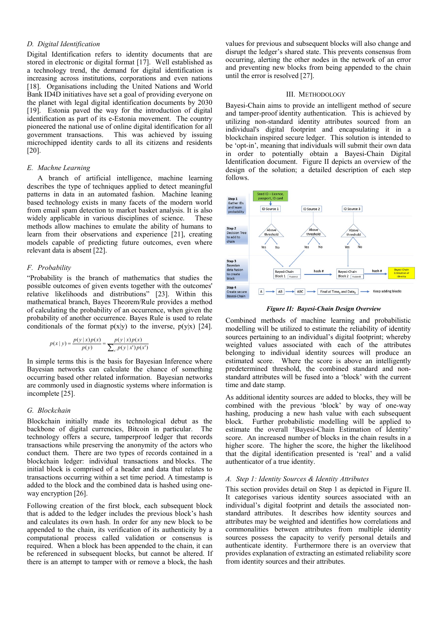# D. Digital Identification

Digital Identification refers to identity documents that are stored in electronic or digital format [17]. Well established as a technology trend, the demand for digital identification is increasing across institutions, corporations and even nations [18]. Organisations including the United Nations and World Bank ID4D initiatives have set a goal of providing everyone on the planet with legal digital identification documents by 2030 [19]. Estonia paved the way for the introduction of digital identification as part of its e-Estonia movement. The country pioneered the national use of online digital identification for all government transactions. This was achieved by issuing microchipped identity cards to all its citizens and residents [20].

#### E. Machne Learning

A branch of artificial intelligence, machine learning describes the type of techniques applied to detect meaningful patterns in data in an automated fashion. Machine leaning based technology exists in many facets of the modern world from email spam detection to market basket analysis. It is also widely applicable in various disciplines of science. These methods allow machines to emulate the ability of humans to learn from their observations and experience [21], creating models capable of predicting future outcomes, even where relevant data is absent [22].

### F. Probability

"Probability is the branch of mathematics that studies the possible outcomes of given events together with the outcomes' relative likelihoods and distributions" [23]. Within this mathematical branch, Bayes Theorem/Rule provides a method of calculating the probability of an occurrence, when given the probability of another occurrence. Bayes Rule is used to relate conditionals of the format  $p(x|y)$  to the inverse,  $p(y|x)$  [24].

$$
p(x | y) = \frac{p(y | x) p(x)}{p(y)} = \frac{p(y | x) p(x)}{\sum_{x'} p(y | x') p(x')}
$$

In simple terms this is the basis for Bayesian Inference where Bayesian networks can calculate the chance of something occurring based other related information. Bayesian networks are commonly used in diagnostic systems where information is incomplete [25].

## G. Blockchain

Blockchain initially made its technological debut as the backbone of digital currencies, Bitcoin in particular. The technology offers a secure, tamperproof ledger that records transactions while preserving the anonymity of the actors who conduct them. There are two types of records contained in a blockchain ledger: individual transactions and blocks. The initial block is comprised of a header and data that relates to transactions occurring within a set time period. A timestamp is added to the block and the combined data is hashed using oneway encryption [26].

Following creation of the first block, each subsequent block that is added to the ledger includes the previous block's hash and calculates its own hash. In order for any new block to be appended to the chain, its verification of its authenticity by a computational process called validation or consensus is required. When a block has been appended to the chain, it can be referenced in subsequent blocks, but cannot be altered. If there is an attempt to tamper with or remove a block, the hash

values for previous and subsequent blocks will also change and disrupt the ledger's shared state. This prevents consensus from occurring, alerting the other nodes in the network of an error and preventing new blocks from being appended to the chain until the error is resolved [27].

#### III. METHODOLOGY

Bayesi-Chain aims to provide an intelligent method of secure and tamper-proof identity authentication. This is achieved by utilizing non-standard identity attributes sourced from an individual's digital footprint and encapsulating it in a blockchain inspired secure ledger. This solution is intended to be 'opt-in', meaning that individuals will submit their own data in order to potentially obtain a Bayesi-Chain Digital Identification document. Figure II depicts an overview of the design of the solution; a detailed description of each step follows.



Figure II: Bayesi-Chain Design Overview

Combined methods of machine learning and probabilistic modelling will be utilized to estimate the reliability of identity sources pertaining to an individual's digital footprint; whereby weighted values associated with each of the attributes belonging to individual identity sources will produce an estimated score. Where the score is above an intelligently predetermined threshold, the combined standard and nonstandard attributes will be fused into a 'block' with the current time and date stamp.

As additional identity sources are added to blocks, they will be combined with the previous 'block' by way of one-way hashing, producing a new hash value with each subsequent block. Further probabilistic modelling will be applied to estimate the overall 'Bayesi-Chain Estimation of Identity' score. An increased number of blocks in the chain results in a higher score. The higher the score, the higher the likelihood that the digital identification presented is 'real' and a valid authenticator of a true identity.

### A. Step 1: Identity Sources & Identity Attributes

This section provides detail on Step 1 as depicted in Figure II. It categorises various identity sources associated with an individual's digital footprint and details the associated nonstandard attributes. It describes how identity sources and attributes may be weighted and identifies how correlations and commonalities between attributes from multiple identity sources possess the capacity to verify personal details and authenticate identity. Furthermore there is an overview that provides explanation of extracting an estimated reliability score from identity sources and their attributes.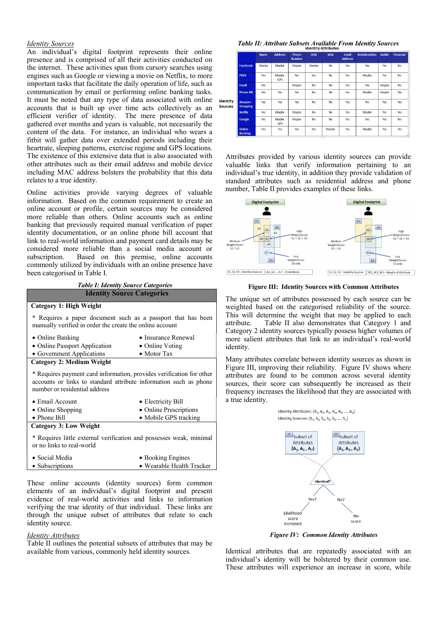### **Identity Sources**

An individual's digital footprint represents their online presence and is comprised of all their activities conducted on the internet. These activities span from cursory searches using engines such as Google or viewing a movie on Netflix, to more important tasks that facilitate the daily operation of life, such as communication by email or performing online banking tasks. It must be noted that any type of data associated with online a accounts that is built up over time acts collectively as an efficient verifier of identity. The mere presence of data gathered over months and years is valuable, not necessarily the content of the data. For instance, an individual who wears a fitbit will gather data over extended periods including their heartrate, sleeping patterns, exercise regime and GPS locations. The existence of this extensive data that is also associated with other attributes such as their email address and mobile device including MAC address bolsters the probability that this data relates to a true identity.

Online activities provide varying degrees of valuable information. Based on the common requirement to create an online account or profile, certain sources may be considered more reliable than others. Online accounts such as online banking that previously required manual verification of paper identity documentation, or an online phone bill account that link to real-world information and payment card details may be considered more reliable than a social media account or subscription. Based on this premise, online accounts commonly utilized by individuals with an online presence have been categorised in Table I.

| <b>Table I: Identity Source Categories</b> |  |
|--------------------------------------------|--|
| <b>Identity Source Categories</b>          |  |

### Category 1: High Weight

\* Requires a paper document such as a passport that has been manually verified in order the create the online account

| • Online Banking                 | • Insurance Renewal |
|----------------------------------|---------------------|
| • Online Passport Application    | • Online Voting     |
| • Government Applications        | $\bullet$ Motor Tax |
| <b>Category 2: Medium Weight</b> |                     |

\* Requires payment card information, provides verification for other accounts or links to standard attribute information such as phone number or residential address

| $\bullet$ Email Account | • Electricity Bill                                               |  |  |  |  |
|-------------------------|------------------------------------------------------------------|--|--|--|--|
| • Online Shopping       | • Online Prescriptions                                           |  |  |  |  |
| $\bullet$ Phone Bill    | • Mobile GPS tracking                                            |  |  |  |  |
| Category 3: Low Weight  |                                                                  |  |  |  |  |
|                         | * Dequired little external varification and necessage weak minim |  |  |  |  |

uires little external verification and possesses weak, minimal or no links to real-world

| $\bullet$ Social Media | • Booking Engines         |
|------------------------|---------------------------|
| • Subscriptions        | • Wearable Health Tracker |
|                        |                           |

These online accounts (identity sources) form common elements of an individual's digital footprint and present evidence of real-world activities and links to information verifying the true identity of that individual. These links are through the unique subset of attributes that relate to each identity source.

#### **Identity Attributes**

Table II outlines the potential subsets of attributes that may be available from various, commonly held identity sources.

Table II: Attribute Subsets Available From Identity Sources

|                             | <b>Name</b> | <b>Address</b>  | Phone<br><b>Number</b> | <b>DOB</b> | <b>NSN</b> | <b>Email</b><br><b>Address</b> | <b>Relationships</b> | <b>Habits</b> | <b>Financial</b> |
|-----------------------------|-------------|-----------------|------------------------|------------|------------|--------------------------------|----------------------|---------------|------------------|
| <b>Facebook</b>             | Maybe       | Maybe           | Maybe                  | Maybe      | <b>No</b>  | Yes                            | Yes                  | Yes           | <b>No</b>        |
| <b>Fitbit</b>               | Yes         | Maybe<br>$-GPS$ | No                     | Yes        | No         | Yes                            | Maybe                | Yes           | <b>No</b>        |
| <b>Email</b>                | Yes         |                 | Maybe                  | <b>No</b>  | <b>No</b>  | Yes                            | Yes                  | Maybe         | <b>No</b>        |
| <b>Phone Bill</b>           | Yes         | Yes             | Yes                    | <b>No</b>  | <b>No</b>  | Yes                            | Maybe                | Maybe         | Yes              |
| Amazon -<br><b>Shopping</b> | Yes         | Yes             | Yes                    | <b>No</b>  | <b>No</b>  | Yes                            | <b>No</b>            | Yes           | Yes              |
| <b>Netflix</b>              | Yes         | Maybe           | Maybe                  | <b>No</b>  | <b>No</b>  | Yes                            | Maybe                | Yes           | Yes              |
| <b>Google</b>               | Yes         | Maybe<br>$-GPS$ | Maybe                  | <b>No</b>  | <b>No</b>  | Yes                            | Yes                  | Yes           | <b>No</b>        |
| Online<br><b>Banking</b>    | Yes         | Yes             | Yes                    | Yes        | Maybe      | Yes                            | Maybe                | Yes           | Yes              |

Attributes provided by various identity sources can provide valuable links that verify information pertaining to an individual's true identity, in addition they provide validation of standard attributes such as residential address and phone number, Table II provides examples of these links.



Figure III: Identity Sources with Common Attributes

The unique set of attributes possessed by each source can be weighted based on the categorised reliability of the source. This will determine the weight that may be applied to each attribute. Table II also demonstrates that Category 1 and Category 2 identity sources typically possess higher volumes of more salient attributes that link to an individual's real-world identity.

Many attributes correlate between identity sources as shown in Figure III, improving their reliability. Figure IV shows where attributes are found to be common across several identity sources, their score can subsequently be increased as their frequency increases the likelihood that they are associated with a true identity.



Figure IV: Common Identity Attributes

Identical attributes that are repeatedly associated with an individual's identity will be bolstered by their common use. These attributes will experience an increase in score, while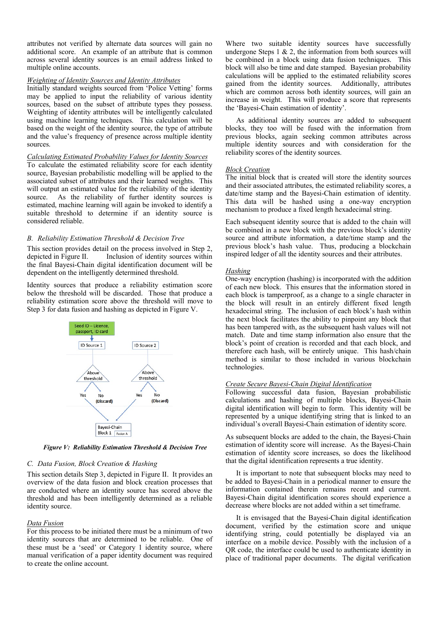attributes not verified by alternate data sources will gain no additional score. An example of an attribute that is common across several identity sources is an email address linked to multiple online accounts.

### Weighting of Identity Sources and Identity Attributes

Initially standard weights sourced from 'Police Vetting' forms may be applied to input the reliability of various identity sources, based on the subset of attribute types they possess. Weighting of identity attributes will be intelligently calculated using machine learning techniques. This calculation will be based on the weight of the identity source, the type of attribute and the value's frequency of presence across multiple identity sources.

# Calculating Estimated Probability Values for Identity Sources

To calculate the estimated reliability score for each identity source, Bayesian probabilistic modelling will be applied to the associated subset of attributes and their learned weights. This will output an estimated value for the reliability of the identity source. As the reliability of further identity sources is estimated, machine learning will again be invoked to identify a suitable threshold to determine if an identity source is considered reliable.

### B. Reliability Estimation Threshold & Decision Tree

This section provides detail on the process involved in Step 2, depicted in Figure II. Inclusion of identity sources within Inclusion of identity sources within the final Bayesi-Chain digital identification document will be dependent on the intelligently determined threshold.

Identity sources that produce a reliability estimation score below the threshold will be discarded. Those that produce a reliability estimation score above the threshold will move to Step 3 for data fusion and hashing as depicted in Figure V.



Figure V: Reliability Estimation Threshold & Decision Tree

# C. Data Fusion, Block Creation & Hashing

This section details Step 3, depicted in Figure II. It provides an overview of the data fusion and block creation processes that are conducted where an identity source has scored above the threshold and has been intelligently determined as a reliable identity source.

### **Data Fusion**

For this process to be initiated there must be a minimum of two identity sources that are determined to be reliable. One of these must be a 'seed' or Category 1 identity source, where manual verification of a paper identity document was required to create the online account.

Where two suitable identity sources have successfully undergone Steps  $1 \& 2$ , the information from both sources will be combined in a block using data fusion techniques. This block will also be time and date stamped. Bayesian probability calculations will be applied to the estimated reliability scores gained from the identity sources. Additionally, attributes which are common across both identity sources, will gain an increase in weight. This will produce a score that represents the 'Bayesi-Chain estimation of identity'.

As additional identity sources are added to subsequent blocks, they too will be fused with the information from previous blocks, again seeking common attributes across multiple identity sources and with consideration for the reliability scores of the identity sources.

### Block Creation

The initial block that is created will store the identity sources and their associated attributes, the estimated reliability scores, a date/time stamp and the Bayesi-Chain estimation of identity. This data will be hashed using a one-way encryption mechanism to produce a fixed length hexadecimal string.

Each subsequent identity source that is added to the chain will be combined in a new block with the previous block's identity source and attribute information, a date/time stamp and the previous block's hash value. Thus, producing a blockchain inspired ledger of all the identity sources and their attributes.

# **Hashing**

One-way encryption (hashing) is incorporated with the addition of each new block. This ensures that the information stored in each block is tamperproof, as a change to a single character in the block will result in an entirely different fixed length hexadecimal string. The inclusion of each block's hash within the next block facilitates the ability to pinpoint any block that has been tampered with, as the subsequent hash values will not match. Date and time stamp information also ensure that the block's point of creation is recorded and that each block, and therefore each hash, will be entirely unique. This hash/chain method is similar to those included in various blockchain technologies.

#### Create Secure Bayesi-Chain Digital Identification

Following successful data fusion, Bayesian probabilistic calculations and hashing of multiple blocks, Bayesi-Chain digital identification will begin to form. This identity will be represented by a unique identifying string that is linked to an individual's overall Bayesi-Chain estimation of identity score.

As subsequent blocks are added to the chain, the Bayesi-Chain estimation of identity score will increase. As the Bayesi-Chain estimation of identity score increases, so does the likelihood that the digital identification represents a true identity.

It is important to note that subsequent blocks may need to be added to Bayesi-Chain in a periodical manner to ensure the information contained therein remains recent and current. Bayesi-Chain digital identification scores should experience a decrease where blocks are not added within a set timeframe.

It is envisaged that the Bayesi-Chain digital identification document, verified by the estimation score and unique identifying string, could potentially be displayed via an interface on a mobile device. Possibly with the inclusion of a QR code, the interface could be used to authenticate identity in place of traditional paper documents. The digital verification